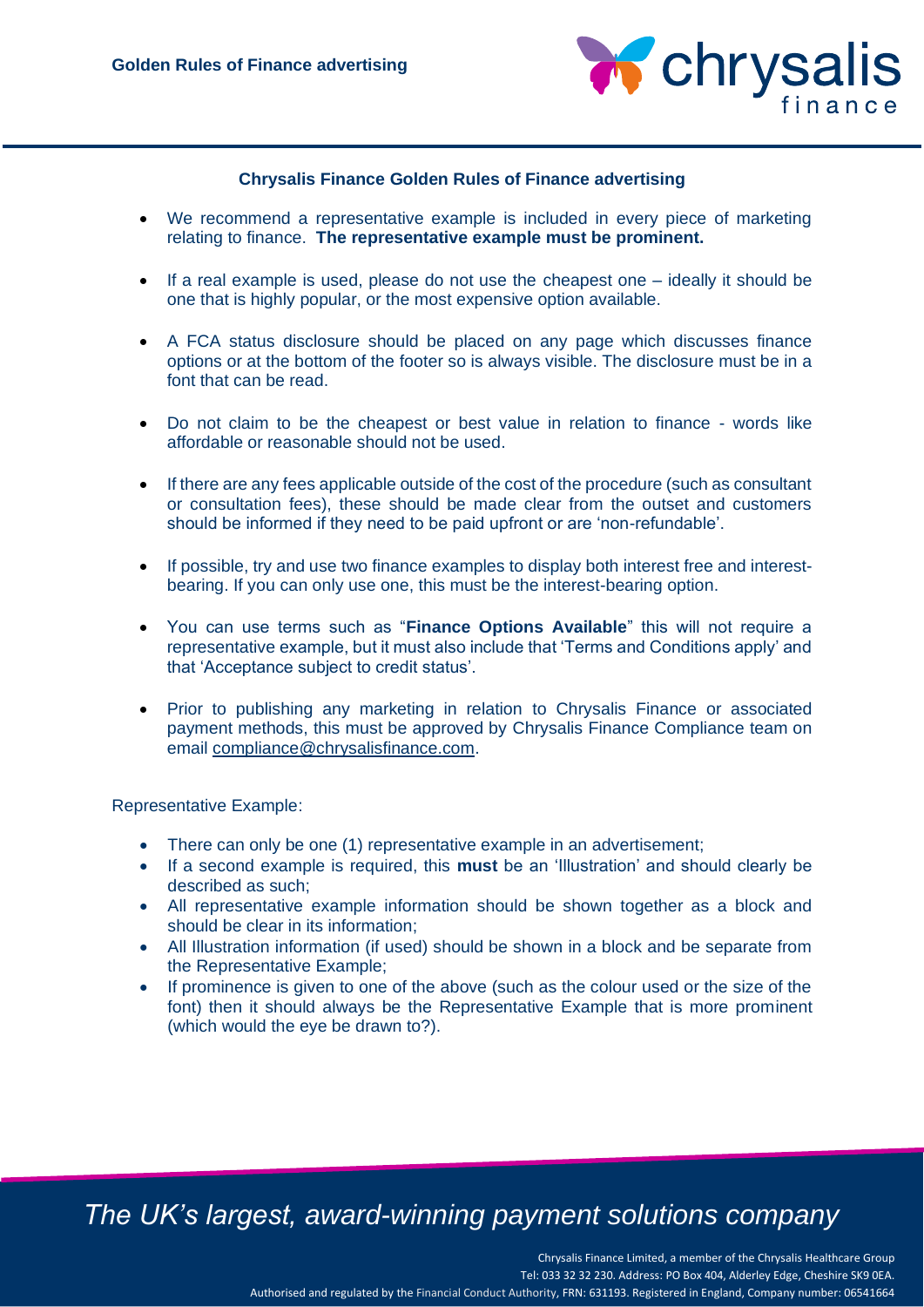

### **Chrysalis Finance Golden Rules of Finance advertising**

- We recommend a representative example is included in every piece of marketing relating to finance. **The representative example must be prominent.**
- If a real example is used, please do not use the cheapest one ideally it should be one that is highly popular, or the most expensive option available.
- A FCA status disclosure should be placed on any page which discusses finance options or at the bottom of the footer so is always visible. The disclosure must be in a font that can be read.
- Do not claim to be the cheapest or best value in relation to finance words like affordable or reasonable should not be used.
- If there are any fees applicable outside of the cost of the procedure (such as consultant or consultation fees), these should be made clear from the outset and customers should be informed if they need to be paid upfront or are 'non-refundable'.
- If possible, try and use two finance examples to display both interest free and interestbearing. If you can only use one, this must be the interest-bearing option.
- You can use terms such as "**Finance Options Available**" this will not require a representative example, but it must also include that 'Terms and Conditions apply' and that 'Acceptance subject to credit status'.
- Prior to publishing any marketing in relation to Chrysalis Finance or associated payment methods, this must be approved by Chrysalis Finance Compliance team on email [compliance@chrysalisfinance.com.](mailto:compliance@chrysalisfinance.com)

Representative Example:

- There can only be one (1) representative example in an advertisement;
- If a second example is required, this **must** be an 'Illustration' and should clearly be described as such;
- All representative example information should be shown together as a block and should be clear in its information;
- All Illustration information (if used) should be shown in a block and be separate from the Representative Example;
- If prominence is given to one of the above (such as the colour used or the size of the font) then it should always be the Representative Example that is more prominent (which would the eye be drawn to?).

## *The UK's largest, award-winning payment solutions company*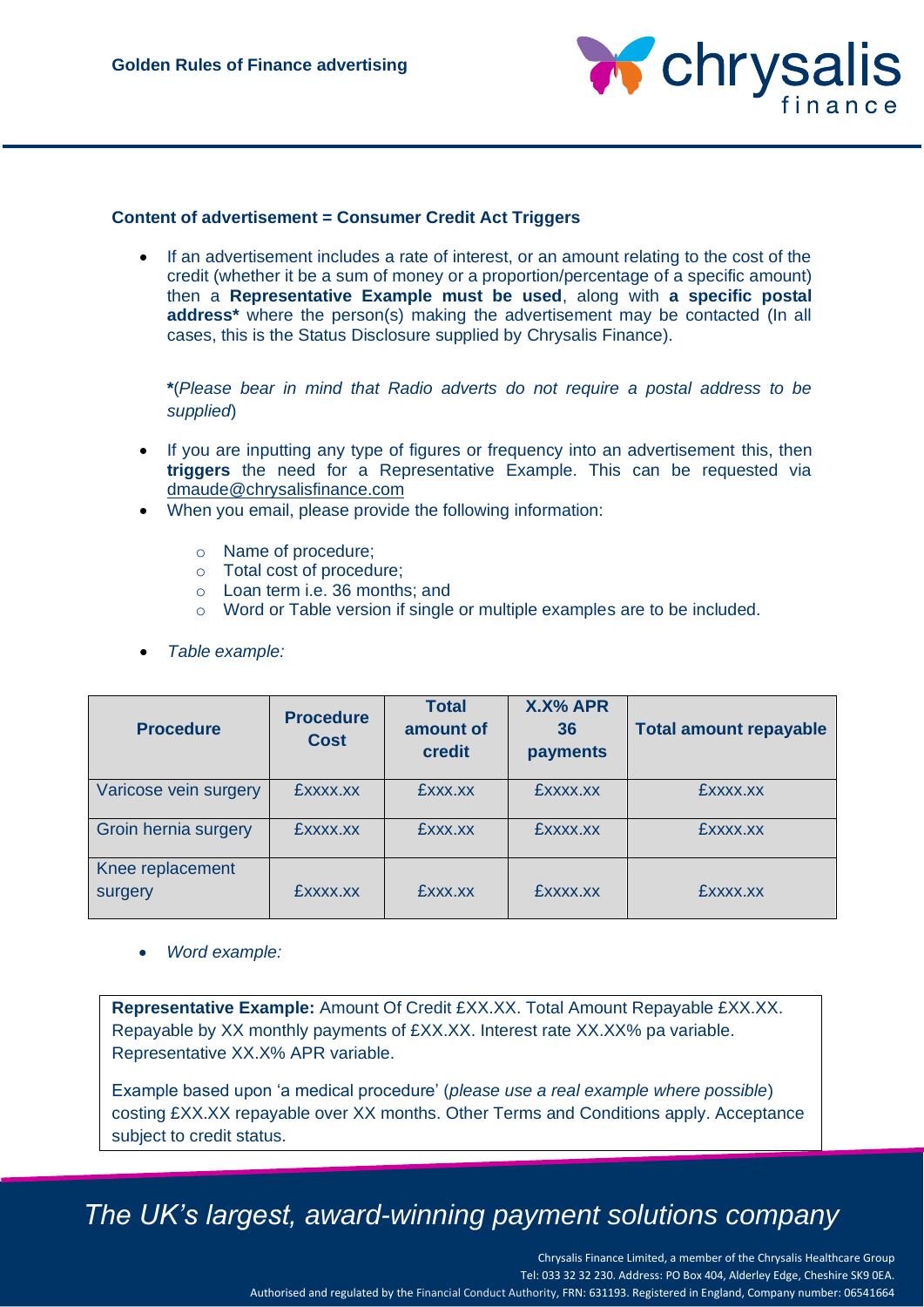

### **Content of advertisement = Consumer Credit Act Triggers**

• If an advertisement includes a rate of interest, or an amount relating to the cost of the credit (whether it be a sum of money or a proportion/percentage of a specific amount) then a **Representative Example must be used**, along with **a specific postal address\*** where the person(s) making the advertisement may be contacted (In all cases, this is the Status Disclosure supplied by Chrysalis Finance).

**\***(*Please bear in mind that Radio adverts do not require a postal address to be supplied*)

- If you are inputting any type of figures or frequency into an advertisement this, then **triggers** the need for a Representative Example. This can be requested via [dmaude@chrysalisfinance.com](mailto:dmaude@chrysalisfinance.com)
- When you email, please provide the following information:
	- o Name of procedure;
	- o Total cost of procedure;
	- o Loan term i.e. 36 months; and
	- o Word or Table version if single or multiple examples are to be included.
- *Table example:*

| <b>Procedure</b>            | <b>Procedure</b><br><b>Cost</b> | <b>Total</b><br>amount of<br>credit | <b>X.X% APR</b><br>36<br>payments | <b>Total amount repayable</b> |
|-----------------------------|---------------------------------|-------------------------------------|-----------------------------------|-------------------------------|
| Varicose vein surgery       | £xxxx.xx                        | EXXX.XX                             | £xxxx.xx                          | EXXXX.XX                      |
| Groin hernia surgery        | £xxxx.xx                        | £xxx.xx                             | £xxxx.xx                          | £xxxx.xx                      |
| Knee replacement<br>surgery | £xxxx.xx                        | EXXX.XX                             | EXXXX.XX                          | EXXXX.XX                      |

• *Word example:*

**Representative Example:** Amount Of Credit £XX.XX. Total Amount Repayable £XX.XX. Repayable by XX monthly payments of £XX.XX. Interest rate XX.XX% pa variable. Representative XX.X% APR variable.

Example based upon 'a medical procedure' (*please use a real example where possible*) costing £XX.XX repayable over XX months. Other Terms and Conditions apply. Acceptance subject to credit status.

# *The UK's largest, award-winning payment solutions company*